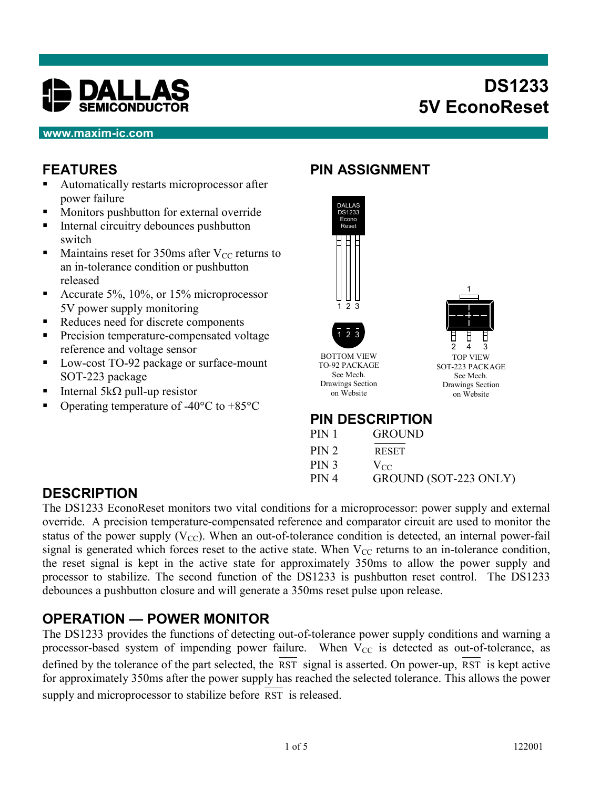

## **DS1233 5V EconoReset**

#### **www.maxim-ic.com**

#### **FEATURES**

- **Automatically restarts microprocessor after** power failure
- **Monitors pushbutton for external override**
- Internal circuitry debounces pushbutton switch
- Maintains reset for 350ms after  $V_{CC}$  returns to an in-tolerance condition or pushbutton released
- Accurate 5%,  $10\%$ , or 15% microprocessor 5V power supply monitoring
- Reduces need for discrete components
- **Precision temperature-compensated voltage** reference and voltage sensor
- Low-cost TO-92 package or surface-mount SOT-223 package
- Internal 5k $\Omega$  pull-up resistor
- Operating temperature of -40 $\degree$ C to +85 $\degree$ C

#### **PIN ASSIGNMENT**



**PIN DESCRIPTION**

| PIN 1            | <b>GROUND</b>         |
|------------------|-----------------------|
| PIN2             | <b>RESET</b>          |
| PIN <sub>3</sub> | $V_{CC}$              |
| PIN4             | GROUND (SOT-223 ONLY) |

#### **DESCRIPTION**

The DS1233 EconoReset monitors two vital conditions for a microprocessor: power supply and external override. A precision temperature-compensated reference and comparator circuit are used to monitor the status of the power supply  $(V_{CC})$ . When an out-of-tolerance condition is detected, an internal power-fail signal is generated which forces reset to the active state. When  $V_{CC}$  returns to an in-tolerance condition, the reset signal is kept in the active state for approximately 350ms to allow the power supply and processor to stabilize. The second function of the DS1233 is pushbutton reset control. The DS1233 debounces a pushbutton closure and will generate a 350ms reset pulse upon release.

#### **OPERATION — POWER MONITOR**

The DS1233 provides the functions of detecting out-of-tolerance power supply conditions and warning a processor-based system of impending power failure. When  $V_{CC}$  is detected as out-of-tolerance, as defined by the tolerance of the part selected, the RST signal is asserted. On power-up, RST is kept active for approximately 350ms after the power supply has reached the selected tolerance. This allows the power supply and microprocessor to stabilize before RST is released.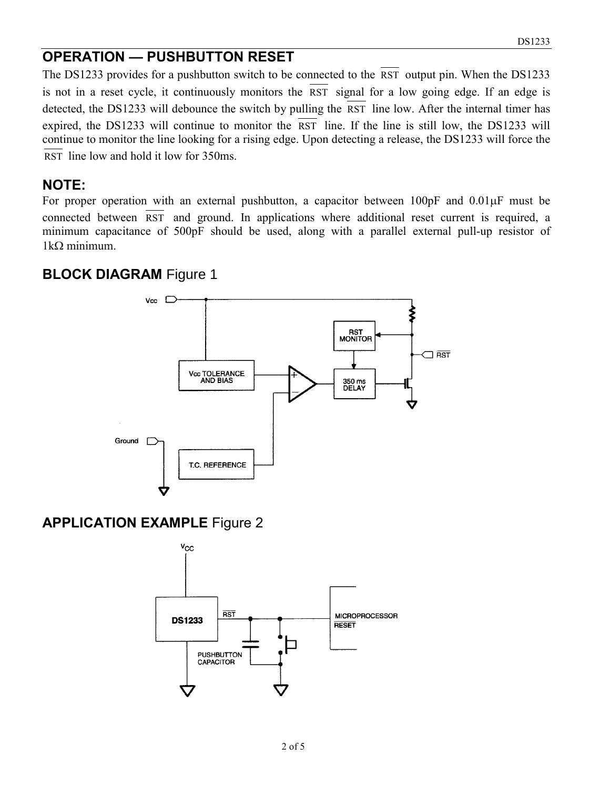#### **OPERATION — PUSHBUTTON RESET**

The DS1233 provides for a pushbutton switch to be connected to the RST output pin. When the DS1233 is not in a reset cycle, it continuously monitors the RST signal for a low going edge. If an edge is detected, the DS1233 will debounce the switch by pulling the RST line low. After the internal timer has expired, the DS1233 will continue to monitor the  $\overline{RST}$  line. If the line is still low, the DS1233 will continue to monitor the line looking for a rising edge. Upon detecting a release, the DS1233 will force the RST line low and hold it low for 350ms.

#### **NOTE:**

For proper operation with an external pushbutton, a capacitor between  $100pF$  and  $0.01\mu F$  must be connected between RST and ground. In applications where additional reset current is required, a minimum capacitance of 500pF should be used, along with a parallel external pull-up resistor of  $1k\Omega$  minimum.

#### **BLOCK DIAGRAM Figure 1**



#### **APPLICATION EXAMPLE** Figure 2

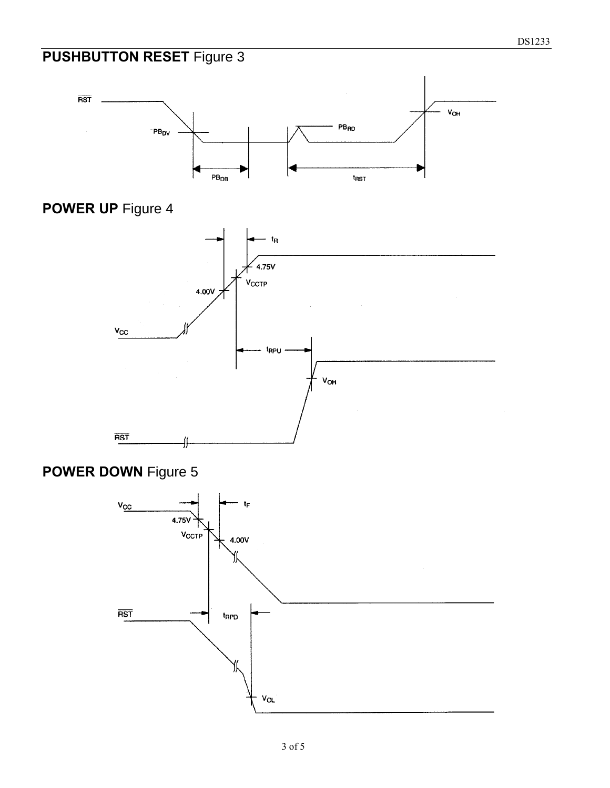## **PUSHBUTTON RESET** Figure 3



## **POWER UP** Figure 4



### **POWER DOWN** Figure 5

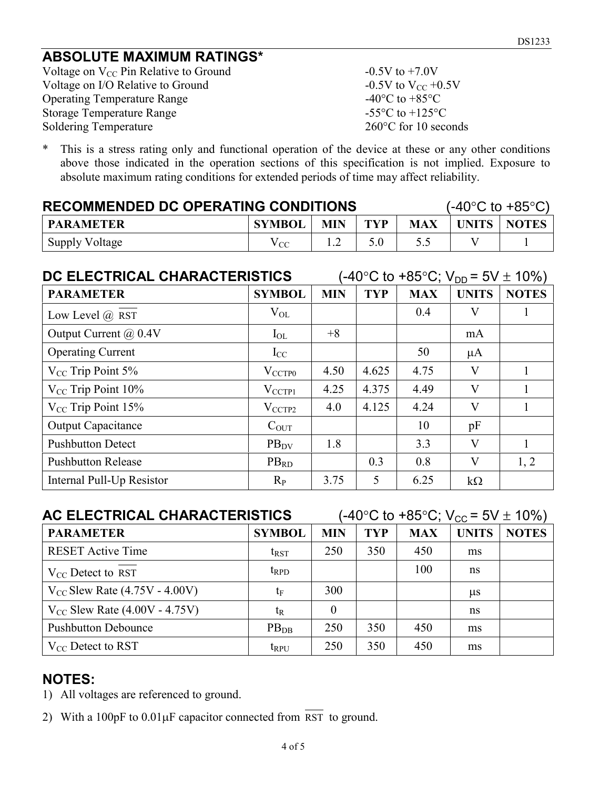#### **ABSOLUTE MAXIMUM RATINGS\***

Voltage on  $V_{CC}$  Pin Relative to Ground  $-0.5V$  to  $+7.0V$ Voltage on I/O Relative to Ground  $-0.5V$  to  $V_{CC} +0.5V$ Operating Temperature Range  $-40^{\circ}$ C to  $+85^{\circ}$ C Storage Temperature Range  $-55^{\circ}$ C to +125°C Soldering Temperature 260°C for 10 seconds

\* This is a stress rating only and functional operation of the device at these or any other conditions above those indicated in the operation sections of this specification is not implied. Exposure to absolute maximum rating conditions for extended periods of time may affect reliability.

| <b>RECOMMENDED DC OPERATING CONDITIONS</b>                           |              |  |  |               | $(-40^{\circ}$ C to $+85^{\circ}$ C) |
|----------------------------------------------------------------------|--------------|--|--|---------------|--------------------------------------|
| TYP<br><b>MIN</b><br><b>SYMBOL</b><br><b>MAX</b><br><b>PARAMETER</b> |              |  |  | UNITS   NOTES |                                      |
| <b>Supply Voltage</b>                                                | $\rm V_{CC}$ |  |  |               |                                      |

| DC ELECTRICAL CHARACTERISTICS |                    |            | (-40°C to +85°C; V <sub>DD</sub> = 5V $\pm$ 10%) |            |              |              |  |  |
|-------------------------------|--------------------|------------|--------------------------------------------------|------------|--------------|--------------|--|--|
| <b>PARAMETER</b>              | <b>SYMBOL</b>      | <b>MIN</b> | <b>TYP</b>                                       | <b>MAX</b> | <b>UNITS</b> | <b>NOTES</b> |  |  |
| Low Level $(a)$ RST           | $V_{OL}$           |            |                                                  | 0.4        | V            |              |  |  |
| Output Current @ 0.4V         | $I_{OL}$           | $+8$       |                                                  |            | mA           |              |  |  |
| <b>Operating Current</b>      | $I_{CC}$           |            |                                                  | 50         | $\mu A$      |              |  |  |
| $V_{CC}$ Trip Point 5%        | $V_{\text{CCTP0}}$ | 4.50       | 4.625                                            | 4.75       | V            |              |  |  |
| $V_{CC}$ Trip Point 10%       | $V_{\text{CCTP1}}$ | 4.25       | 4.375                                            | 4.49       | V            |              |  |  |
| $V_{CC}$ Trip Point 15%       | $V_{\text{CCTP2}}$ | 4.0        | 4.125                                            | 4.24       | V            |              |  |  |
| <b>Output Capacitance</b>     | $C_{OUT}$          |            |                                                  | 10         | pF           |              |  |  |
| <b>Pushbutton Detect</b>      | $PB_{DV}$          | 1.8        |                                                  | 3.3        | V            |              |  |  |
| <b>Pushbutton Release</b>     | $PB_{RD}$          |            | 0.3                                              | 0.8        | V            | 1, 2         |  |  |
| Internal Pull-Up Resistor     | $R_{P}$            | 3.75       | 5                                                | 6.25       | $k\Omega$    |              |  |  |

| AC ELECTRICAL CHARACTERISTICS      |                  | (-40°C to +85°C; V <sub>cc</sub> = 5V $\pm$ 10%) |            |            |              |              |
|------------------------------------|------------------|--------------------------------------------------|------------|------------|--------------|--------------|
| <b>PARAMETER</b>                   | <b>SYMBOL</b>    | <b>MIN</b>                                       | <b>TYP</b> | <b>MAX</b> | <b>UNITS</b> | <b>NOTES</b> |
| <b>RESET Active Time</b>           | $t_{\rm RST}$    | 250                                              | 350        | 450        | ms           |              |
| $V_{CC}$ Detect to RST             | $t_{\rm RPD}$    |                                                  |            | 100        | ns           |              |
| $V_{CC}$ Slew Rate (4.75V - 4.00V) | $t_{\rm F}$      | 300                                              |            |            | $\mu$ s      |              |
| $V_{CC}$ Slew Rate (4.00V - 4.75V) | t <sub>R</sub>   | $\overline{0}$                                   |            |            | ns           |              |
| <b>Pushbutton Debounce</b>         | PB <sub>DB</sub> | 250                                              | 350        | 450        | ms           |              |
| $V_{CC}$ Detect to RST             | $t_{RPU}$        | 250                                              | 350        | 450        | ms           |              |

#### **NOTES:**

- 1) All voltages are referenced to ground.
- 2) With a  $100pF$  to  $0.01\mu F$  capacitor connected from RST to ground.